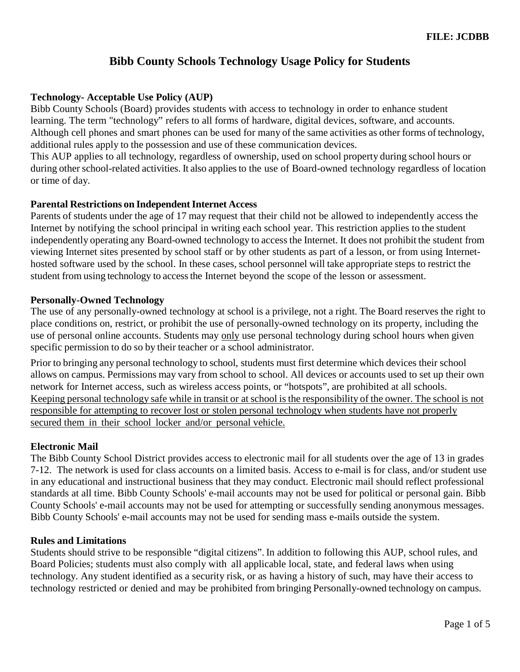# **Bibb County Schools Technology Usage Policy for Students**

# **Technology- Acceptable Use Policy (AUP)**

Bibb County Schools (Board) provides students with access to technology in order to enhance student learning. The term "technology" refers to all forms of hardware, digital devices, software, and accounts. Although cell phones and smart phones can be used for many of the same activities as other forms of technology, additional rules apply to the possession and use of these communication devices.

This AUP applies to all technology, regardless of ownership, used on school property during school hours or during other school-related activities. It also applies to the use of Board-owned technology regardless of location or time of day.

# **Parental Restrictions on Independent Internet Access**

Parents of students under the age of 17 may request that their child not be allowed to independently access the Internet by notifying the school principal in writing each school year. This restriction applies to the student independently operating any Board-owned technology to access the Internet. It does not prohibit the student from viewing Internet sites presented by school staff or by other students as part of a lesson, or from using Internethosted software used by the school. In these cases, school personnel will take appropriate steps to restrict the student from using technology to access the Internet beyond the scope of the lesson or assessment.

### **Personally-Owned Technology**

The use of any personally-owned technology at school is a privilege, not a right. The Board reserves the right to place conditions on, restrict, or prohibit the use of personally-owned technology on its property, including the use of personal online accounts. Students may only use personal technology during school hours when given specific permission to do so by their teacher or a school administrator.

Prior to bringing any personal technology to school, students must first determine which devices their school allows on campus. Permissions may vary from school to school. All devices or accounts used to set up their own network for Internet access, such as wireless access points, or "hotspots", are prohibited at all schools. Keeping personal technology safe while in transit or at school is the responsibility of the owner. The school is not responsible for attempting to recover lost or stolen personal technology when students have not properly secured them in their school locker and/or personal vehicle.

# **Electronic Mail**

The Bibb County School District provides access to electronic mail for all students over the age of 13 in grades 7-12. The network is used for class accounts on a limited basis. Access to e-mail is for class, and/or student use in any educational and instructional business that they may conduct. Electronic mail should reflect professional standards at all time. Bibb County Schools' e-mail accounts may not be used for political or personal gain. Bibb County Schools' e-mail accounts may not be used for attempting or successfully sending anonymous messages. Bibb County Schools' e-mail accounts may not be used for sending mass e-mails outside the system.

#### **Rules and Limitations**

Students should strive to be responsible "digital citizens". In addition to following this AUP, school rules, and Board Policies; students must also comply with all applicable local, state, and federal laws when using technology. Any student identified as a security risk, or as having a history of such, may have their access to technology restricted or denied and may be prohibited from bringing Personally-owned technology on campus.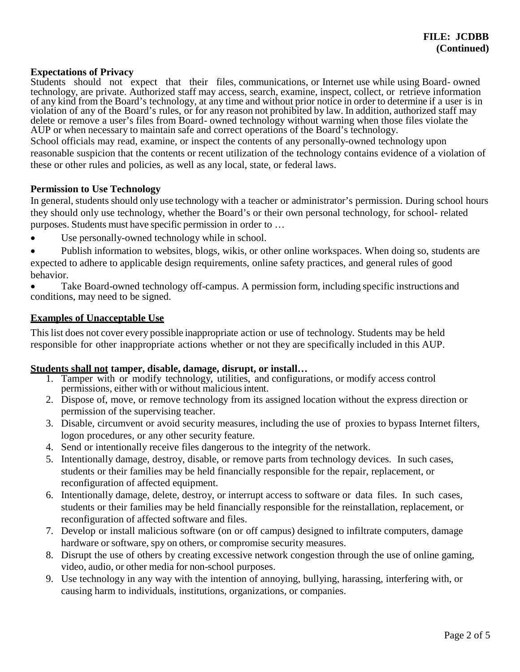# **Expectations of Privacy**

Students should not expect that their files, communications, or Internet use while using Board- owned technology, are private. Authorized staff may access, search, examine, inspect, collect, or retrieve information of any kind from the Board's technology, at any time and without prior notice in order to determine if a user is in violation of any of the Board's rules, or for any reason not prohibited by law. In addition, authorized staff may delete or remove a user's files from Board- owned technology without warning when those files violate the AUP or when necessary to maintain safe and correct operations of the Board's technology.

School officials may read, examine, or inspect the contents of any personally-owned technology upon reasonable suspicion that the contents or recent utilization of the technology contains evidence of a violation of these or other rules and policies, as well as any local, state, or federal laws.

### **Permission to Use Technology**

In general, students should only use technology with a teacher or administrator's permission. During school hours they should only use technology, whether the Board's or their own personal technology, for school- related purposes. Students must have specific permission in order to …

- Use personally-owned technology while in school.
- Publish information to websites, blogs, wikis, or other online workspaces. When doing so, students are
- expected to adhere to applicable design requirements, online safety practices, and general rules of good behavior.
- Take Board-owned technology off-campus. A permission form, including specific instructions and conditions, may need to be signed.

### **Examples of Unacceptable Use**

This list does not cover every possible inappropriate action or use of technology. Students may be held responsible for other inappropriate actions whether or not they are specifically included in this AUP.

- **Students shall not tamper, disable, damage, disrupt, or install…** 1. Tamper with or modify technology, utilities, and configurations, or modify access control permissions, either with or without malicious intent.
	- 2. Dispose of, move, or remove technology from its assigned location without the express direction or permission of the supervising teacher.
	- 3. Disable, circumvent or avoid security measures, including the use of proxies to bypass Internet filters, logon procedures, or any other security feature.
	- 4. Send or intentionally receive files dangerous to the integrity of the network.
	- 5. Intentionally damage, destroy, disable, or remove parts from technology devices. In such cases, students or their families may be held financially responsible for the repair, replacement, or reconfiguration of affected equipment.
	- 6. Intentionally damage, delete, destroy, or interrupt access to software or data files. In such cases, students or their families may be held financially responsible for the reinstallation, replacement, or reconfiguration of affected software and files.
	- 7. Develop or install malicious software (on or off campus) designed to infiltrate computers, damage hardware or software, spy on others, or compromise security measures.
	- 8. Disrupt the use of others by creating excessive network congestion through the use of online gaming, video, audio, or other media for non-school purposes.
	- 9. Use technology in any way with the intention of annoying, bullying, harassing, interfering with, or causing harm to individuals, institutions, organizations, or companies.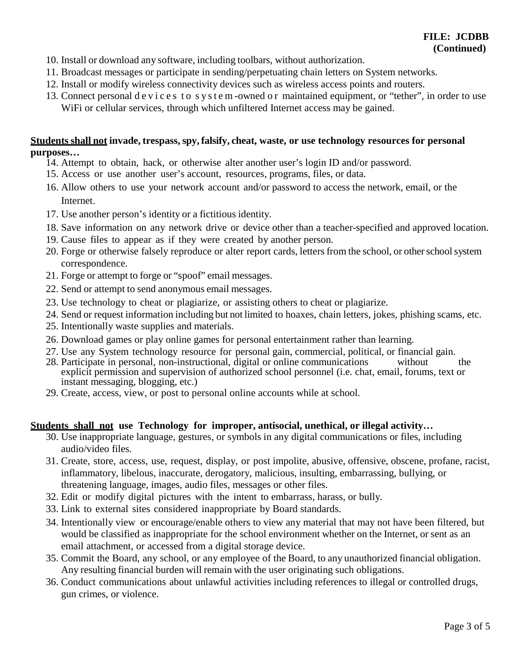- 10. Install or download any software, including toolbars, without authorization.
- 11. Broadcast messages or participate in sending/perpetuating chain letters on System networks.
- 12. Install or modify wireless connectivity devices such as wireless access points and routers.
- 13. Connect personal devices to system-owned or maintained equipment, or "tether", in order to use WiFi or cellular services, through which unfiltered Internet access may be gained.

# **Students shall not invade, trespass, spy, falsify, cheat, waste, or use technology resources for personal purposes…**

- 14. Attempt to obtain, hack, or otherwise alter another user's login ID and/or password.
- 15. Access or use another user's account, resources, programs, files, or data.
- 16. Allow others to use your network account and/or password to access the network, email, or the Internet.
- 17. Use another person's identity or a fictitious identity.
- 18. Save information on any network drive or device other than a teacher-specified and approved location.
- 19. Cause files to appear as if they were created by another person.
- 20. Forge or otherwise falsely reproduce or alter report cards, letters from the school, or other school system correspondence.
- 21. Forge or attempt to forge or "spoof" email messages.
- 22. Send or attempt to send anonymous email messages.
- 23. Use technology to cheat or plagiarize, or assisting others to cheat or plagiarize.
- 24. Send or request information including but not limited to hoaxes, chain letters, jokes, phishing scams, etc.
- 25. Intentionally waste supplies and materials.
- 26. Download games or play online games for personal entertainment rather than learning.
- 27. Use any System technology resource for personal gain, commercial, political, or financial gain.
- 28. Participate in personal, non-instructional, digital or online communications without the explicit permission and supervision of authorized school personnel (i.e. chat, email, forums, text or instant messaging, blogging, etc.)
- 29. Create, access, view, or post to personal online accounts while at school.

# **Students shall not use Technology for improper, antisocial, unethical, or illegal activity…**

- 30. Use inappropriate language, gestures, or symbols in any digital communications or files, including audio/video files.
- 31. Create, store, access, use, request, display, or post impolite, abusive, offensive, obscene, profane, racist, inflammatory, libelous, inaccurate, derogatory, malicious, insulting, embarrassing, bullying, or threatening language, images, audio files, messages or other files.
- 32. Edit or modify digital pictures with the intent to embarrass, harass, or bully.
- 33. Link to external sites considered inappropriate by Board standards.
- 34. Intentionally view or encourage/enable others to view any material that may not have been filtered, but would be classified as inappropriate for the school environment whether on the Internet, or sent as an email attachment, or accessed from a digital storage device.
- 35. Commit the Board, any school, or any employee of the Board, to any unauthorized financial obligation. Any resulting financial burden will remain with the user originating such obligations.
- 36. Conduct communications about unlawful activities including references to illegal or controlled drugs, gun crimes, or violence.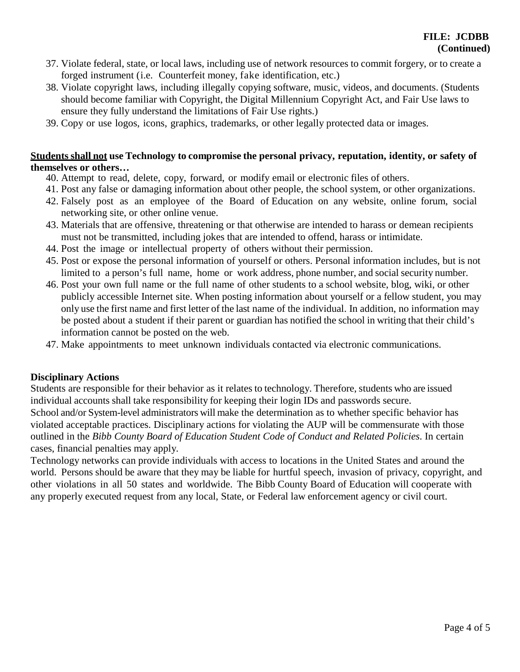- 37. Violate federal, state, or local laws, including use of network resources to commit forgery, or to create a forged instrument (i.e. Counterfeit money, fake identification, etc.)
- 38. Violate copyright laws, including illegally copying software, music, videos, and documents. (Students should become familiar with Copyright, the Digital Millennium Copyright Act, and Fair Use laws to ensure they fully understand the limitations of Fair Use rights.)
- 39. Copy or use logos, icons, graphics, trademarks, or other legally protected data or images.

# **Students shall not use Technology to compromise the personal privacy, reputation, identity, or safety of themselves or others…**

- 40. Attempt to read, delete, copy, forward, or modify email or electronic files of others.
- 41. Post any false or damaging information about other people, the school system, or other organizations.
- 42. Falsely post as an employee of the Board of Education on any website, online forum, social networking site, or other online venue.
- 43. Materials that are offensive, threatening or that otherwise are intended to harass or demean recipients must not be transmitted, including jokes that are intended to offend, harass or intimidate.
- 44. Post the image or intellectual property of others without their permission.
- 45. Post or expose the personal information of yourself or others. Personal information includes, but is not limited to a person's full name, home or work address, phone number, and social security number.
- 46. Post your own full name or the full name of other students to a school website, blog, wiki, or other publicly accessible Internet site. When posting information about yourself or a fellow student, you may only use the first name and first letter of the last name of the individual. In addition, no information may be posted about a student if their parent or guardian has notified the school in writing that their child's information cannot be posted on the web.
- 47. Make appointments to meet unknown individuals contacted via electronic communications.

# **Disciplinary Actions**

Students are responsible for their behavior as it relates to technology. Therefore, students who are issued individual accounts shall take responsibility for keeping their login IDs and passwords secure. School and/or System-level administrators will make the determination as to whether specific behavior has violated acceptable practices. Disciplinary actions for violating the AUP will be commensurate with those outlined in the *Bibb County Board of Education Student Code of Conduct and Related Policies*. In certain cases, financial penalties may apply.

Technology networks can provide individuals with access to locations in the United States and around the world. Persons should be aware that they may be liable for hurtful speech, invasion of privacy, copyright, and other violations in all 50 states and worldwide. The Bibb County Board of Education will cooperate with any properly executed request from any local, State, or Federal law enforcement agency or civil court.